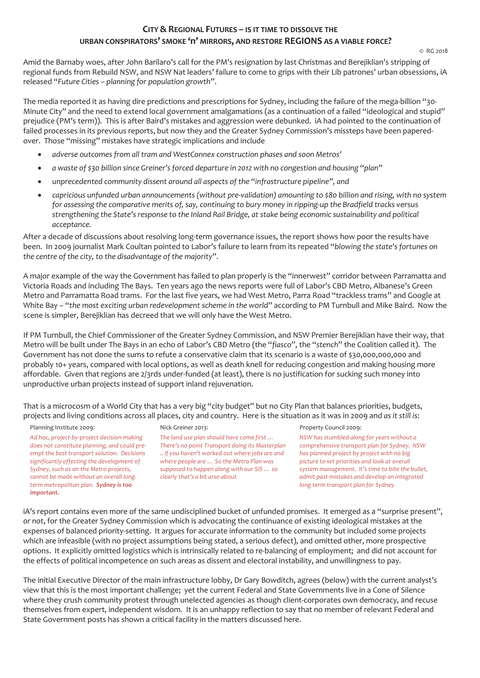# **CITY & REGIONAL FUTURES – IS IT TIME TO DISSOLVE THE URBAN CONSPIRATORS' SMOKE 'n' MIRRORS, AND RESTORE REGIONS AS A VIABLE FORCE?**

Amid the Barnaby woes, after John Barilaro's call for the PM's resignation by last Christmas and Berejiklian's stripping of regional funds from Rebuild NSW, and NSW Nat leaders' failure to come to grips with their Lib patrones' urban obsessions, iA released "*Future Cities – planning for population growth*".

The media reported it as having dire predictions and prescriptions for Sydney, including the failure of the mega-billion "30- Minute City" and the need to extend local government amalgamations (as a continuation of a failed "ideological and stupid" prejudice (PM's term)). This is after Baird's mistakes and aggression were debunked. iA had pointed to the continuation of failed processes in its previous reports, but now they and the Greater Sydney Commission's missteps have been paperedover. Those "missing" mistakes have strategic implications and include

- *adverse outcomes from all tram and WestConnex construction phases and soon Metros'*
- *a waste of \$30 billion since Greiner's forced departure in 2012 with no congestion and housing "plan"*
- *unprecedented community dissent around all aspects of the "infrastructure pipeline", and*
- capricious unfunded urban announcements (without pre-validation) amounting to \$80 billion and rising, with no system *for assessing the comparative merits of, say, continuing to bury money in ripping-up the Bradfield tracks* versus *strengthening the State's response to the Inland Rail Bridge, at stake being economic sustainability and political acceptance.*

After a decade of discussions about resolving long-term governance issues, the report shows how poor the results have been. In 2009 journalist Mark Coultan pointed to Labor's failure to learn from its repeated "*blowing the state's fortunes on the centre of the city, to the disadvantage of the majority*".

A major example of the way the Government has failed to plan properly is the "innerwest" corridor between Parramatta and Victoria Roads and including The Bays. Ten years ago the news reports were full of Labor's CBD Metro, Albanese's Green Metro and Parramatta Road trams. For the last five years, we had West Metro, Parra Road "trackless trams" and Google at White Bay – "*the most exciting urban redevelopment scheme in the world*" according to PM Turnbull and Mike Baird. Now the scene is simpler, Berejiklian has decreed that we will only have the West Metro.

If PM Turnbull, the Chief Commissioner of the Greater Sydney Commission, and NSW Premier Berejiklian have their way, that Metro will be built under The Bays in an echo of Labor's CBD Metro (the "*fiasco*", the "*stench*" the Coalition called it). The Government has not done the sums to refute a conservative claim that its scenario is a waste of \$30,000,000,000 and probably 10+ years, compared with local options, as well as death knell for reducing congestion and making housing more affordable. Given that regions are 2/3rds under-funded (at least), there is no justification for sucking such money into unproductive urban projects instead of support inland rejuvenation.

That is a microcosm of a World City that has a very big "city budget" but no City Plan that balances priorities, budgets, projects and living conditions across all places, city and country. Here is the situation as it was in 2009 and *as it still is*:

Planning Institute 2009:

*Ad hoc, project-by-project decision-making does not constitute planning, and could preempt the best transport solution. Decisions significantly affecting the development of Sydney, such as on the Metro projects, cannot be made without an overall longterm metropolitan plan. Sydney is too important.*

### Nick Greiner 2013:

*The land use plan should have come first … There's no point Transport doing its Masterplan .. if you haven't worked out where jobs are and where people are … So the Metro Plan was supposed to happen along with our SIS … so clearly that's a bit arse-about*

Property Council 2009:

*NSW has stumbled along for years without a comprehensive transport plan for Sydney. NSW has planned project by project with no big picture to set priorities and look at overall system management. It's time to bite the bullet, admit past mistakes and develop an integrated long term transport plan for Sydney.*

iA's report contains even more of the same undisciplined bucket of unfunded promises. It emerged as a "surprise present", *or not*, for the Greater Sydney Commission which is advocating the continuance of existing ideological mistakes at the expenses of balanced priority-setting. It argues for accurate information to the community but included some projects which are infeasible (with no project assumptions being stated, a serious defect), and omitted other, more prospective options. It explicitly omitted logistics which is intrinsically related to re-balancing of employment; and did not account for the effects of political incompetence on such areas as dissent and electoral instability, and unwillingness to pay.

The initial Executive Director of the main infrastructure lobby, Dr Gary Bowditch, agrees (below) with the current analyst's view that this is the most important challenge; yet the current Federal and State Governments live in a Cone of Silence where they crush community protest through unelected agencies as though client-corporates own democracy, and recuse themselves from expert, independent wisdom. It is an unhappy reflection to say that no member of relevant Federal and State Government posts has shown a critical facility in the matters discussed here.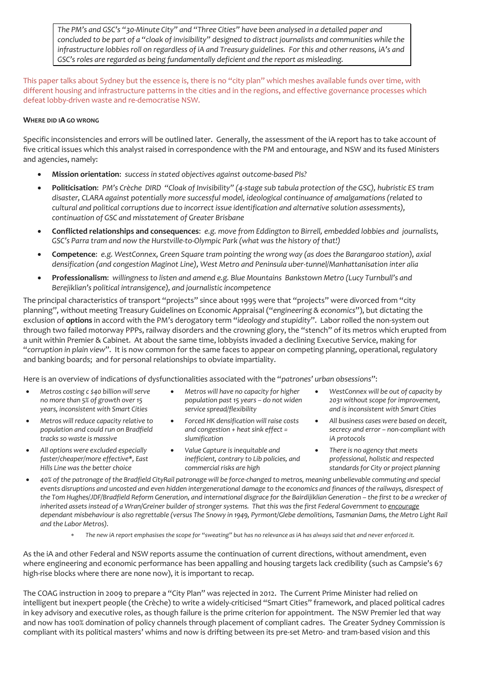*The PM's and GSC's "30-Minute City" and "Three Cities" have been analysed in a detailed paper and concluded to be part of a "cloak of invisibility" designed to distract journalists and communities while the infrastructure lobbies roll on regardless of iA and Treasury guidelines. For this and other reasons, iA's and GSC's roles are regarded as being fundamentally deficient and the report as misleading.*

This paper talks about Sydney but the essence is, there is no "city plan" which meshes available funds over time, with different housing and infrastructure patterns in the cities and in the regions, and effective governance processes which defeat lobby-driven waste and re-democratise NSW.

## **WHERE DID IA GO WRONG**

Specific inconsistencies and errors will be outlined later. Generally, the assessment of the iA report has to take account of five critical issues which this analyst raised in correspondence with the PM and entourage, and NSW and its fused Ministers and agencies, namely:

- **Mission orientation**: *success in stated objectives against outcome-based PIs?*
- **Politicisation**: *PM's Crèche DIRD "Cloak of Invisibility" (4-stage sub tabula protection of the GSC), hubristic ES tram disaster, CLARA against potentially more successful model, ideological continuance of amalgamations (related to cultural and political corruptions due to incorrect issue identification and alternative solution assessments), continuation of GSC and misstatement of Greater Brisbane*
- **Conflicted relationships and consequences**: *e.g. move from Eddington to Birrell, embedded lobbies and journalists, GSC's Parra tram and now the Hurstville-to-Olympic Park (what was the history of that!)*
- **Competence**: *e.g. WestConnex, Green Square tram pointing the wrong way (as does the Barangaroo station), axial densification (and congestion Maginot Line), West Metro and Peninsula uber-tunnel/Manhattanisation inter alia*
- **Professionalism**: *willingness to listen and amend e.g. Blue Mountains Bankstown Metro (Lucy Turnbull's and Berejiklian's political intransigence), and journalistic incompetence*

The principal characteristics of transport "projects" since about 1995 were that "projects" were divorced from "city planning", without meeting Treasury Guidelines on Economic Appraisal ("*engineering & economics*"), but dictating the exclusion of **options** in accord with the PM's derogatory term "*ideology and stupidity*". Labor rolled the non-system out through two failed motorway PPPs, railway disorders and the crowning glory, the "stench" of its metros which erupted from a unit within Premier & Cabinet. At about the same time, lobbyists invaded a declining Executive Service, making for "*corruption in plain view*". It is now common for the same faces to appear on competing planning, operational, regulatory and banking boards; and for personal relationships to obviate impartiality.

Here is an overview of indications of dysfunctionalities associated with the "*patrones' urban obsessions*":

- *Metros costing c \$40 billion will serve no more than 5% of growth over 15 years, inconsistent with Smart Cities*
- *Metros will reduce capacity relative to population and could run on Bradfield tracks so waste is massive*
- *All options were excluded especially faster/cheaper/more effective\*, East Hills Line was the better choice*
- *Metros will have no capacity for higher population past 15 years – do not widen service spread/flexibility*
- *Forced HK densification will raise costs and congestion + heat sink effect = slumification*
- *Value Capture is inequitable and inefficient, contrary to Lib policies, and commercial risks are high*
- *WestConnex will be out of capacity by 2031 without scope for improvement, and is inconsistent with Smart Cities*
- *All business cases were based on deceit, secrecy and error – non-compliant with iA protocols*
- *There is no agency that meets professional, holistic and respected standards for City or project planning*
- *40% of the patronage of the Bradfield CityRail patronage will be force-changed to metros, meaning unbelievable commuting and special events disruptions and uncosted and even hidden intergenerational damage to the economics and finances of the railways, disrespect of the Tom Hughes/JDF/Bradfield Reform Generation, and international disgrace for the Bairdijiklian Generation – the first to be a wrecker of inherited assets instead of a Wran/Greiner builder of stronger systems. That this was the first Federal Government to encourage dependant misbehaviour is also regrettable (versus The Snowy in 1949, Pyrmont/Glebe demolitions, Tasmanian Dams, the Metro Light Rail and the Labor Metros).*
	- The new iA report emphasises the scope for "sweating" but has no relevance as iA has always said that and never enforced it.

As the iA and other Federal and NSW reports assume the continuation of current directions, without amendment, even where engineering and economic performance has been appalling and housing targets lack credibility (such as Campsie's 67 high-rise blocks where there are none now), it is important to recap.

The COAG instruction in 2009 to prepare a "City Plan" was rejected in 2012. The Current Prime Minister had relied on intelligent but inexpert people (the Crèche) to write a widely-criticised "Smart Cities" framework, and placed political cadres in key advisory and executive roles, as though failure is the prime criterion for appointment. The NSW Premier led that way and now has 100% domination of policy channels through placement of compliant cadres. The Greater Sydney Commission is compliant with its political masters' whims and now is drifting between its pre-set Metro- and tram-based vision and this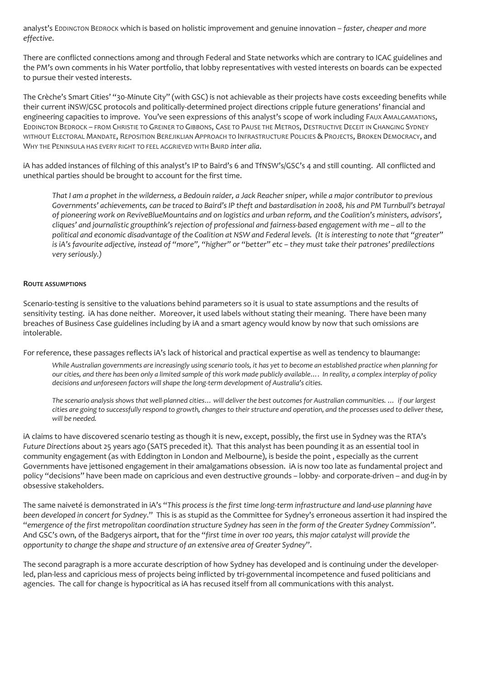analyst's EDDINGTON BEDROCK which is based on holistic improvement and genuine innovation – *faster, cheaper and more effective*.

There are conflicted connections among and through Federal and State networks which are contrary to ICAC guidelines and the PM's own comments in his Water portfolio, that lobby representatives with vested interests on boards can be expected to pursue their vested interests.

The Crèche's Smart Cities' "30-Minute City" (with GSC) is not achievable as their projects have costs exceeding benefits while their current iNSW/GSC protocols and politically-determined project directions cripple future generations' financial and engineering capacities to improve. You've seen expressions of this analyst's scope of work including FAUX AMALGAMATIONS, EDDINGTON BEDROCK – FROM CHRISTIE TO GREINER TO GIBBONS, CASE TO PAUSE THE METROS, DESTRUCTIVE DECEIT IN CHANGING SYDNEY WITHOUT ELECTORAL MANDATE, REPOSITION BEREJIKLIAN APPROACH TO INFRASTRUCTURE POLICIES & PROJECTS, BROKEN DEMOCRACY, and WHY THE PENINSULA HAS EVERY RIGHT TO FEEL AGGRIEVED WITH BAIRD *inter alia*.

iA has added instances of filching of this analyst's IP to Baird's 6 and TfNSW's/GSC's 4 and still counting. All conflicted and unethical parties should be brought to account for the first time.

*That I am a prophet in the wilderness, a Bedouin raider, a Jack Reacher sniper, while a major contributor to previous*  Governments' achievements, can be traced to Baird's IP theft and bastardisation in 2008, his and PM Turnbull's betrayal *of pioneering work on ReviveBlueMountains and on logistics and urban reform, and the Coalition's ministers, advisors', cliques' and journalistic groupthink's rejection of professional and fairness-based engagement with me – all to the political and economic disadvantage of the Coalition at NSW and Federal levels. (It is interesting to note that "greater" is iA's favourite adjective, instead of "more", "higher" or "better" etc – they must take their patrones' predilections very seriously.)*

### **ROUTE ASSUMPTIONS**

Scenario-testing is sensitive to the valuations behind parameters so it is usual to state assumptions and the results of sensitivity testing. iA has done neither. Moreover, it used labels without stating their meaning. There have been many breaches of Business Case guidelines including by iA and a smart agency would know by now that such omissions are intolerable.

For reference, these passages reflects iA's lack of historical and practical expertise as well as tendency to blaumange:

*While Australian governments are increasingly using scenario tools, it has yet to become an established practice when planning for our cities, and there has been only a limited sample of this work made publicly available…. In reality, a complex interplay of policy decisions and unforeseen factors will shape the long-term development of Australia's cities.*

*The scenario analysis shows that well-planned cities… will deliver the best outcomes for Australian communities. … if our largest cities are going to successfully respond to growth, changes to their structure and operation, and the processes used to deliver these, will be needed.*

iA claims to have discovered scenario testing as though it is new, except, possibly, the first use in Sydney was the RTA's *Future Directions* about 25 years ago (SATS preceded it). That this analyst has been pounding it as an essential tool in community engagement (as with Eddington in London and Melbourne), is beside the point , especially as the current Governments have jettisoned engagement in their amalgamations obsession. iA is now too late as fundamental project and policy "decisions" have been made on capricious and even destructive grounds – lobby- and corporate-driven – and dug-in by obsessive stakeholders.

The same naiveté is demonstrated in iA's "*This process is the first time long-term infrastructure and land-use planning have been developed in concert for Sydney*." This is as stupid as the Committee for Sydney's erroneous assertion it had inspired the "*emergence of the first metropolitan coordination structure Sydney has seen in the form of the Greater Sydney Commission".*  And GSC's own, of the Badgerys airport, that for the "*first time in over 100 years, this major catalyst will provide the opportunity to change the shape and structure of an extensive area of Greater Sydney*".

The second paragraph is a more accurate description of how Sydney has developed and is continuing under the developerled, plan-less and capricious mess of projects being inflicted by tri-governmental incompetence and fused politicians and agencies. The call for change is hypocritical as iA has recused itself from all communications with this analyst.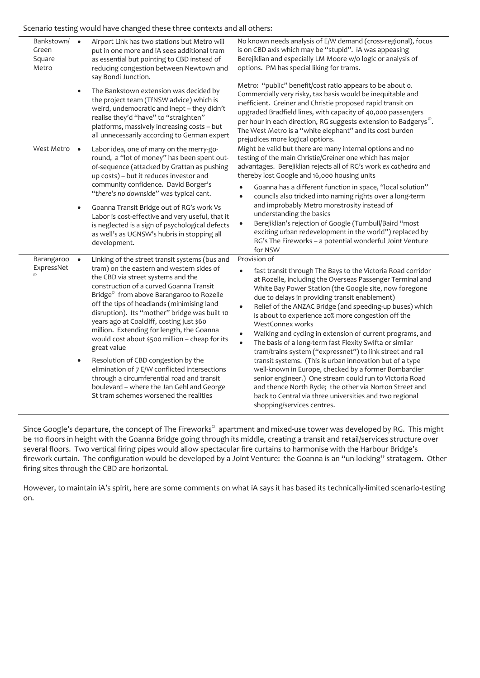Scenario testing would have changed these three contexts and all others:

| Bankstown/<br>Green<br>Square<br>Metro | $\bullet$              | Airport Link has two stations but Metro will<br>put in one more and iA sees additional tram<br>as essential but pointing to CBD instead of<br>reducing congestion between Newtown and<br>say Bondi Junction.                                                                                                                                                                                                                                                                                                                                                                                                                                                                                                                | No known needs analysis of E/W demand (cross-regional), focus<br>is on CBD axis which may be "stupid". iA was appeasing<br>Berejiklian and especially LM Moore w/o logic or analysis of<br>options. PM has special liking for trams.                                                                                                                                                                                                                                                                                                                                                                                                                                                                                                                                                                                                                                                                                           |
|----------------------------------------|------------------------|-----------------------------------------------------------------------------------------------------------------------------------------------------------------------------------------------------------------------------------------------------------------------------------------------------------------------------------------------------------------------------------------------------------------------------------------------------------------------------------------------------------------------------------------------------------------------------------------------------------------------------------------------------------------------------------------------------------------------------|--------------------------------------------------------------------------------------------------------------------------------------------------------------------------------------------------------------------------------------------------------------------------------------------------------------------------------------------------------------------------------------------------------------------------------------------------------------------------------------------------------------------------------------------------------------------------------------------------------------------------------------------------------------------------------------------------------------------------------------------------------------------------------------------------------------------------------------------------------------------------------------------------------------------------------|
|                                        | $\bullet$              | The Bankstown extension was decided by<br>the project team (TfNSW advice) which is<br>weird, undemocratic and inept - they didn't<br>realise they'd "have" to "straighten"<br>platforms, massively increasing costs - but<br>all unnecessarily according to German expert                                                                                                                                                                                                                                                                                                                                                                                                                                                   | Metro: "public" benefit/cost ratio appears to be about o.<br>Commercially very risky, tax basis would be inequitable and<br>inefficient. Greiner and Christie proposed rapid transit on<br>upgraded Bradfield lines, with capacity of 40,000 passengers<br>per hour in each direction, RG suggests extension to Badgerys <sup>®</sup> .<br>The West Metro is a "white elephant" and its cost burden<br>prejudices more logical options.                                                                                                                                                                                                                                                                                                                                                                                                                                                                                        |
| West Metro •                           | $\bullet$              | Labor idea, one of many on the merry-go-<br>round, a "lot of money" has been spent out-<br>of-sequence (attacked by Grattan as pushing<br>up costs) - but it reduces investor and<br>community confidence. David Borger's<br>"there's no downside" was typical cant.<br>Goanna Transit Bridge out of RG's work Vs<br>Labor is cost-effective and very useful, that it<br>is neglected is a sign of psychological defects<br>as well's as UGNSW's hubris in stopping all<br>development.                                                                                                                                                                                                                                     | Might be valid but there are many internal options and no<br>testing of the main Christie/Greiner one which has major<br>advantages. Berejiklian rejects all of RG's work ex cathedra and<br>thereby lost Google and 16,000 housing units<br>Goanna has a different function in space, "local solution"<br>councils also tricked into naming rights over a long-term<br>$\bullet$<br>and improbably Metro monstrosity instead of<br>understanding the basics<br>Berejiklian's rejection of Google (Turnbull/Baird "most<br>$\bullet$<br>exciting urban redevelopment in the world") replaced by<br>RG's The Fireworks - a potential wonderful Joint Venture<br>for NSW                                                                                                                                                                                                                                                         |
| Barangaroo<br>ExpressNet               | $\bullet$<br>$\bullet$ | Linking of the street transit systems (bus and<br>tram) on the eastern and western sides of<br>the CBD via street systems and the<br>construction of a curved Goanna Transit<br>Bridge <sup>®</sup> from above Barangaroo to Rozelle<br>off the tips of headlands (minimising land<br>disruption). Its "mother" bridge was built 10<br>years ago at Coalcliff, costing just \$60<br>million. Extending for length, the Goanna<br>would cost about \$500 million - cheap for its<br>great value<br>Resolution of CBD congestion by the<br>elimination of 7 E/W conflicted intersections<br>through a circumferential road and transit<br>boulevard - where the Jan Gehl and George<br>St tram schemes worsened the realities | Provision of<br>fast transit through The Bays to the Victoria Road corridor<br>at Rozelle, including the Overseas Passenger Terminal and<br>White Bay Power Station (the Google site, now foregone<br>due to delays in providing transit enablement)<br>Relief of the ANZAC Bridge (and speeding-up buses) which<br>$\bullet$<br>is about to experience 20% more congestion off the<br>WestConnex works<br>Walking and cycling in extension of current programs, and<br>The basis of a long-term fast Flexity Swifta or similar<br>tram/trains system ("expressnet") to link street and rail<br>transit systems. (This is urban innovation but of a type<br>well-known in Europe, checked by a former Bombardier<br>senior engineer.) One stream could run to Victoria Road<br>and thence North Ryde; the other via Norton Street and<br>back to Central via three universities and two regional<br>shopping/services centres. |

Since Google's departure, the concept of The Fireworks $^\circ$  apartment and mixed-use tower was developed by RG. This might be 110 floors in height with the Goanna Bridge going through its middle, creating a transit and retail/services structure over several floors. Two vertical firing pipes would allow spectacular fire curtains to harmonise with the Harbour Bridge's firework curtain. The configuration would be developed by a Joint Venture: the Goanna is an "un-locking" stratagem. Other firing sites through the CBD are horizontal.

However, to maintain iA's spirit, here are some comments on what iA says it has based its technically-limited scenario-testing on.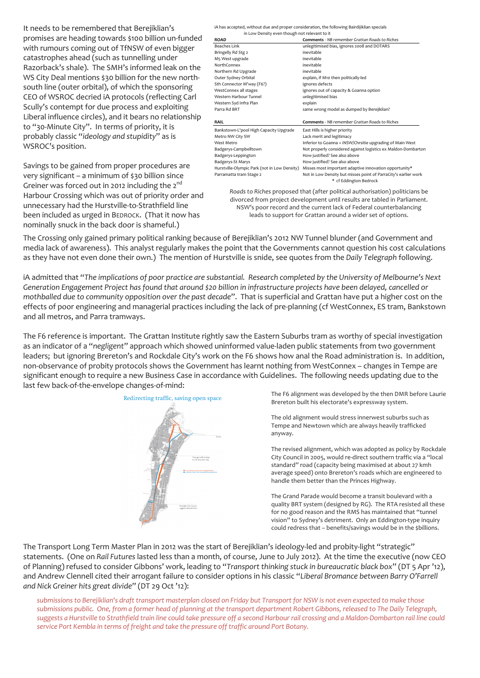It needs to be remembered that Berejiklian's promises are heading towards \$100 billion un-funded with rumours coming out of TfNSW of even bigger catastrophes ahead (such as tunnelling under Razorback's shale). The SMH's informed leak on the WS City Deal mentions \$30 billion for the new northsouth line (outer orbital), of which the sponsoring CEO of WSROC decried iA protocols (reflecting Carl Scully's contempt for due process and exploiting Liberal influence circles), and it bears no relationship to "30-Minute City". In terms of priority, it is probably classic "*ideology and stupidity*" as is WSROC's position.

Savings to be gained from proper procedures are very significant – a minimum of \$30 billion since Greiner was forced out in 2012 including the  $2^{nd}$ Harbour Crossing which was out of priority order and unnecessary had the Hurstville-to-Strathfield line been included as urged in BEDROCK. (That it now has nominally snuck in the back door is shameful.)

iA has accepted, without due and proper consideration, the following Bairdijiklian specials

| in Low Density even though not relevant to it                                                                 |                                                                                           |  |  |  |
|---------------------------------------------------------------------------------------------------------------|-------------------------------------------------------------------------------------------|--|--|--|
| <b>ROAD</b>                                                                                                   | <b>Comments - NB remember Grattan Roads to Riches</b>                                     |  |  |  |
| Beaches Link                                                                                                  | unlegitimised bias, ignores 2008 and DOTARS                                               |  |  |  |
| Bringelly Rd Stg 2                                                                                            | inevitable                                                                                |  |  |  |
| M5 West upgrade                                                                                               | inevitable                                                                                |  |  |  |
| NorthConnex                                                                                                   | inevitable                                                                                |  |  |  |
| Northern Rd Upgrade                                                                                           | inevitable                                                                                |  |  |  |
| Outer Sydney Orbital                                                                                          | explain, if M10 then politically-led                                                      |  |  |  |
| Sth Connector M'way (F6?)                                                                                     | ignores defects                                                                           |  |  |  |
| WestConnex all stages                                                                                         | ignores out of capacity & Goanna option                                                   |  |  |  |
| Western Harbour Tunnel                                                                                        | unlegitimised bias                                                                        |  |  |  |
| Western Syd Infra Plan                                                                                        | explain                                                                                   |  |  |  |
| Parra Rd BRT                                                                                                  | same wrong model as dumped by Berejiklian?                                                |  |  |  |
| RAIL                                                                                                          | <b>Comments</b> - NB remember Grattan Roads to Riches                                     |  |  |  |
| Bankstown-L'pool High Capacity Upgrade                                                                        | East Hills is higher priority                                                             |  |  |  |
| Metro NW City SW                                                                                              | Lack merit and legitimacy                                                                 |  |  |  |
| West Metro                                                                                                    | Inferior to Goanna + iNSW/Chrsitie upgrading of Main West                                 |  |  |  |
| Badgerys-Campbelltown                                                                                         | Not properly considered against logistics ex Maldon-Dombarton                             |  |  |  |
| Badgerys-Leppington                                                                                           | How justified? See also above                                                             |  |  |  |
| Badgerys-St Marys                                                                                             | How justified? See also above                                                             |  |  |  |
| Hurstville-Olympic Park (not in Low Density)                                                                  | Misses most important adaptive innovation opportunity*                                    |  |  |  |
| Parramatta tram Stage 2                                                                                       | Not in Low Density but misses point of ParraCity's earlier work<br>* cf Eddington Bedrock |  |  |  |
| Die seiten in Diefe aus waren waren die kanak (wille aus wille koning aus dem aus die kanakte voor die koning |                                                                                           |  |  |  |

*Roads to Riches* proposed that (after political authorisation) politicians be divorced from project development until results are tabled in Parliament. NSW's poor record and the current lack of Federal counterbalancing leads to support for Grattan around a wider set of options.

The Crossing only gained primary political ranking because of Berejiklian's 2012 NW Tunnel blunder (and Government and media lack of awareness). This analyst regularly makes the point that the Governments cannot question his cost calculations as they have not even done their own.) The mention of Hurstville is snide, see quotes from the *Daily Telegraph* following.

iA admitted that "*The implications of poor practice are substantial. Research completed by the University of Melbourne's Next Generation Engagement Project has found that around \$20 billion in infrastructure projects have been delayed, cancelled or mothballed due to community opposition over the past decade*". That is superficial and Grattan have put a higher cost on the effects of poor engineering and managerial practices including the lack of pre-planning (cf WestConnex, ES tram, Bankstown and all metros, and Parra tramways.

The F6 reference is important. The Grattan Institute rightly saw the Eastern Suburbs tram as worthy of special investigation as an indicator of a "*negligent*" approach which showed uninformed value-laden public statements from two government leaders; but ignoring Brereton's and Rockdale City's work on the F6 shows how anal the Road administration is. In addition, non-observance of probity protocols shows the Government has learnt nothing from WestConnex – changes in Tempe are significant enough to require a new Business Case in accordance with Guidelines. The following needs updating due to the last few back-of-the-envelope changes-of-mind:



The F6 alignment was developed by the then DMR before Laurie Brereton built his electorate's expressway system.

The old alignment would stress innerwest suburbs such as Tempe and Newtown which are always heavily trafficked anyway.

The revised alignment, which was adopted as policy by Rockdale City Council in 2005, would re-direct southern traffic via a "local standard" road (capacity being maximised at about 27 kmh average speed) onto Brereton's roads which are engineered to handle them better than the Princes Highway.

The Grand Parade would become a transit boulevard with a quality BRT system (designed by RG). The RTA resisted all these for no good reason and the RMS has maintained that "tunnel vision" to Sydney's detriment. Only an Eddington-type inquiry could redress that – benefits/savings would be in the \$billions.

The Transport Long Term Master Plan in 2012 was the start of Berejiklian's ideology-led and probity-light "strategic" statements. (One on *Rail Futures* lasted less than a month, of course, June to July 2012). At the time the executive (now CEO of Planning) refused to consider Gibbons' work, leading to "*Transport thinking stuck in bureaucratic black box*" (DT 5 Apr '12), and Andrew Clennell cited their arrogant failure to consider options in his classic "*Liberal Bromance between Barry O'Farrell and Nick Greiner hits great divide*" (DT 29 Oct '12):

*submissions to Berejiklian's draft transport masterplan closed on Friday but Transport for NSW is not even expected to make those submissions public. One, from a former head of planning at the transport department Robert Gibbons, released to The Daily Telegraph, suggests a Hurstville to Strathfield train line could take pressure off a second Harbour rail crossing and a Maldon-Dombarton rail line could service Port Kembla in terms of freight and take the pressure off traffic around Port Botany.*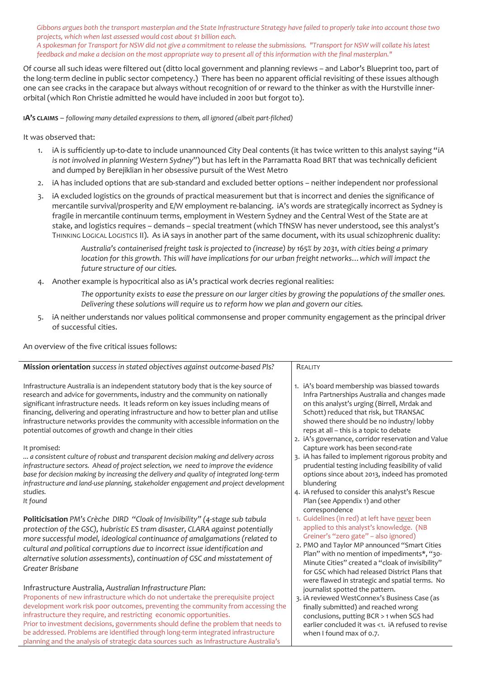*Gibbons argues both the transport masterplan and the State Infrastructure Strategy have failed to properly take into account those two projects, which when last assessed would cost about \$1 billion each. A spokesman for Transport for NSW did not give a commitment to release the submissions. "Transport for NSW will collate his latest feedback and make a decision on the most appropriate way to present all of this information with the final masterplan."*

Of course all such ideas were filtered out (ditto local government and planning reviews – and Labor's Blueprint too, part of the long-term decline in public sector competency.) There has been no apparent official revisiting of these issues although one can see cracks in the carapace but always without recognition of or reward to the thinker as with the Hurstville innerorbital (which Ron Christie admitted he would have included in 2001 but forgot to).

**IA'S CLAIMS** – *following many detailed expressions to them, all ignored (albeit part-filched)*

### It was observed that:

- 1. iA is sufficiently up-to-date to include unannounced City Deal contents (it has twice written to this analyst saying "*iA is not involved in planning Western Sydney*") but has left in the Parramatta Road BRT that was technically deficient and dumped by Berejiklian in her obsessive pursuit of the West Metro
- 2. iA has included options that are sub-standard and excluded better options neither independent nor professional
- 3. iA excluded logistics on the grounds of practical measurement but that is incorrect and denies the significance of mercantile survival/prosperity and E/W employment re-balancing. iA's words are strategically incorrect as Sydney is fragile in mercantile continuum terms, employment in Western Sydney and the Central West of the State are at stake, and logistics requires – demands – special treatment (which TfNSW has never understood, see this analyst's THINKING LOGICAL LOGISTICS II). As iA says in another part of the same document, with its usual schizophrenic duality:

*Australia's containerised freight task is projected to (increase) by 165% by 2031, with cities being a primary location for this growth. This will have implications for our urban freight networks... which will impact the future structure of our cities.*

4. Another example is hypocritical also as iA's practical work decries regional realities:

*The opportunity exists to ease the pressure on our larger cities by growing the populations of the smaller ones. Delivering these solutions will require us to reform how we plan and govern our cities.*

5. iA neither understands nor values political commonsense and proper community engagement as the principal driver of successful cities.

An overview of the five critical issues follows:

|                                                                                                                                                                                                                                                                                                                                                                                                                                                                                                     | REALITY                                                                                                                                                                                                                                                                                                                                                                                    |
|-----------------------------------------------------------------------------------------------------------------------------------------------------------------------------------------------------------------------------------------------------------------------------------------------------------------------------------------------------------------------------------------------------------------------------------------------------------------------------------------------------|--------------------------------------------------------------------------------------------------------------------------------------------------------------------------------------------------------------------------------------------------------------------------------------------------------------------------------------------------------------------------------------------|
| Mission orientation success in stated objectives against outcome-based PIs?                                                                                                                                                                                                                                                                                                                                                                                                                         |                                                                                                                                                                                                                                                                                                                                                                                            |
| Infrastructure Australia is an independent statutory body that is the key source of<br>research and advice for governments, industry and the community on nationally<br>significant infrastructure needs. It leads reform on key issues including means of<br>financing, delivering and operating infrastructure and how to better plan and utilise<br>infrastructure networks provides the community with accessible information on the<br>potential outcomes of growth and change in their cities | 1. iA's board membership was biassed towards<br>Infra Partnerships Australia and changes made<br>on this analyst's urging (Birrell, Mrdak and<br>Schott) reduced that risk, but TRANSAC<br>showed there should be no industry/ lobby<br>reps at all - this is a topic to debate                                                                                                            |
| It promised:<br>a consistent culture of robust and transparent decision making and delivery across<br>infrastructure sectors. Ahead of project selection, we need to improve the evidence<br>base for decision making by increasing the delivery and quality of integrated long-term<br>infrastructure and land-use planning, stakeholder engagement and project development                                                                                                                        | 2. iA's governance, corridor reservation and Value<br>Capture work has been second-rate<br>3. iA has failed to implement rigorous probity and<br>prudential testing including feasibility of valid<br>options since about 2013, indeed has promoted<br>blundering                                                                                                                          |
| studies.<br>It found                                                                                                                                                                                                                                                                                                                                                                                                                                                                                | 4. iA refused to consider this analyst's Rescue<br>Plan (see Appendix 1) and other<br>correspondence                                                                                                                                                                                                                                                                                       |
| Politicisation PM's Crèche DIRD "Cloak of Invisibility" (4-stage sub tabula<br>protection of the GSC), hubristic ES tram disaster, CLARA against potentially<br>more successful model, ideological continuance of amalgamations (related to<br>cultural and political corruptions due to incorrect issue identification and<br>alternative solution assessments), continuation of GSC and misstatement of<br>Greater Brisbane                                                                       | 1. Guidelines (in red) at left have never been<br>applied to this analyst's knowledge. (NB<br>Greiner's "zero gate" - also ignored)<br>2. PMO and Taylor MP announced "Smart Cities<br>Plan" with no mention of impediments*, "30-<br>Minute Cities" created a "cloak of invisibility"<br>for GSC which had released District Plans that<br>were flawed in strategic and spatial terms. No |
| Infrastructure Australia, Australian Infrastructure Plan:<br>Proponents of new infrastructure which do not undertake the prerequisite project<br>development work risk poor outcomes, preventing the community from accessing the<br>infrastructure they require, and restricting economic opportunities.<br>Prior to investment decisions, governments should define the problem that needs to                                                                                                     | journalist spotted the pattern.<br>3. iA reviewed WestConnex's Business Case (as<br>finally submitted) and reached wrong<br>conclusions, putting BCR > 1 when SGS had<br>earlier concluded it was <1. jA refused to revise                                                                                                                                                                 |

be addressed. Problems are identified through long-term integrated infrastructure planning and the analysis of strategic data sources such as Infrastructure Australia's

earlier concluded it was <1. iA refused to revise when I found max of 0.7.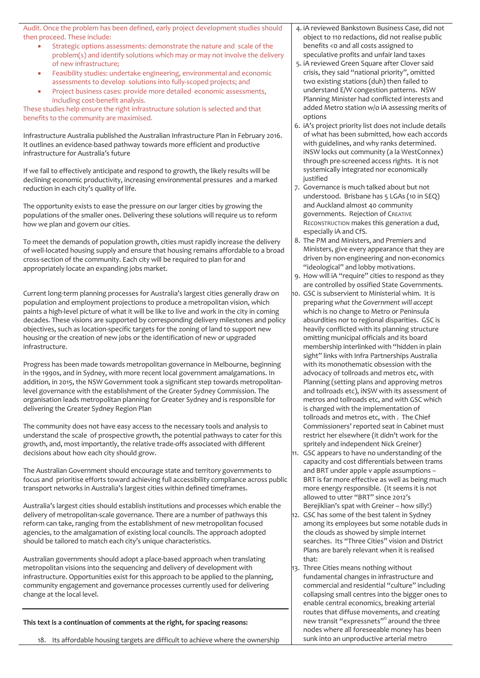Audit. Once the problem has been defined, early project development studies should then proceed. These include:

- Strategic options assessments: demonstrate the nature and scale of the problem(s) and identify solutions which may or may not involve the delivery of new infrastructure;
- Feasibility studies: undertake engineering, environmental and economic assessments to develop solutions into fully-scoped projects; and
- Project business cases: provide more detailed economic assessments, including cost-benefit analysis.

These studies help ensure the right infrastructure solution is selected and that benefits to the community are maximised.

Infrastructure Australia published the Australian Infrastructure Plan in February 2016. It outlines an evidence-based pathway towards more efficient and productive infrastructure for Australia's future

If we fail to effectively anticipate and respond to growth, the likely results will be declining economic productivity, increasing environmental pressures and a marked reduction in each city's quality of life.

The opportunity exists to ease the pressure on our larger cities by growing the populations of the smaller ones. Delivering these solutions will require us to reform how we plan and govern our cities.

To meet the demands of population growth, cities must rapidly increase the delivery of well-located housing supply and ensure that housing remains affordable to a broad cross-section of the community. Each city will be required to plan for and appropriately locate an expanding jobs market.

Current long-term planning processes for Australia's largest cities generally draw on population and employment projections to produce a metropolitan vision, which paints a high-level picture of what it will be like to live and work in the city in coming decades. These visions are supported by corresponding delivery milestones and policy objectives, such as location-specific targets for the zoning of land to support new housing or the creation of new jobs or the identification of new or upgraded infrastructure.

Progress has been made towards metropolitan governance in Melbourne, beginning in the 1990s, and in Sydney, with more recent local government amalgamations. In addition, in 2015, the NSW Government took a significant step towards metropolitanlevel governance with the establishment of the Greater Sydney Commission. The organisation leads metropolitan planning for Greater Sydney and is responsible for delivering the Greater Sydney Region Plan

The community does not have easy access to the necessary tools and analysis to understand the scale of prospective growth, the potential pathways to cater for this growth, and, most importantly, the relative trade-offs associated with different decisions about how each city should grow.

The Australian Government should encourage state and territory governments to focus and prioritise efforts toward achieving full accessibility compliance across public transport networks in Australia's largest cities within defined timeframes.

Australia's largest cities should establish institutions and processes which enable the delivery of metropolitan-scale governance. There are a number of pathways this reform can take, ranging from the establishment of new metropolitan focused agencies, to the amalgamation of existing local councils. The approach adopted should be tailored to match each city's unique characteristics.

Australian governments should adopt a place-based approach when translating metropolitan visions into the sequencing and delivery of development with infrastructure. Opportunities exist for this approach to be applied to the planning, community engagement and governance processes currently used for delivering change at the local level.

**This text is a continuation of comments at the right, for spacing reasons:**

18. Its affordable housing targets are difficult to achieve where the ownership

- 4. iA reviewed Bankstown Business Case, did not object to 110 redactions, did not realise public benefits <0 and all costs assigned to speculative profits and unfair land taxes
- 5. iA reviewed Green Square after Clover said crisis, they said "national priority", omitted two existing stations (duh) then failed to understand E/W congestion patterns. NSW Planning Minister had conflicted interests and added Metro station w/o iA assessing merits of options
- 6. iA's project priority list does not include details of what has been submitted, how each accords with guidelines, and why ranks determined. iNSW locks out community (a la WestConnex) through pre-screened access rights. It is not systemically integrated nor economically justified
- 7. Governance is much talked about but not understood. Brisbane has 5 LGAs (10 in SEQ) and Auckland almost 40 community governments. Rejection of CREATIVE RECONSTRUCTION makes this generation a dud, especially iA and CfS.
- 8. The PM and Ministers, and Premiers and Ministers, give every appearance that they are driven by non-engineering and non-economics "ideological" and lobby motivations.
- 9. How will iA "require" cities to respond as they are controlled by ossified State Governments.
- 10. GSC is subservient to Ministerial whim. It is preparing *what the Government will accept* which is no change to Metro or Peninsula absurdities nor to regional disparities. GSC is heavily conflicted with its planning structure omitting municipal officials and its board membership interlinked with "hidden in plain sight" links with Infra Partnerships Australia with its monothematic obsession with the advocacy of tollroads and metros etc, with Planning (setting plans and approving metros and tollroads etc), iNSW with its assessment of metros and tollroads etc, and with GSC which is charged with the implementation of tollroads and metros etc, with . The Chief Commissioners' reported seat in Cabinet must restrict her elsewhere (it didn't work for the spritely and independent Nick Greiner)
- 11. GSC appears to have no understanding of the capacity and cost differentials between trams and BRT under apple v apple assumptions – BRT is far more effective as well as being much more energy responsible. (It seems it is not allowed to utter "BRT" since 2012's Berejiklian's spat with Greiner – how silly!)
- 12. GSC has some of the best talent in Sydney among its employees but some notable duds in the clouds as showed by simple internet searches. Its "Three Cities" vision and District Plans are barely relevant when it is realised that:
- 13. Three Cities means nothing without fundamental changes in infrastructure and commercial and residential "culture" including collapsing small centres into the bigger ones to enable central economics, breaking arterial routes that diffuse movements, and creating new transit "expressnets"© around the three nodes where all foreseeable money has been sunk into an unproductive arterial metro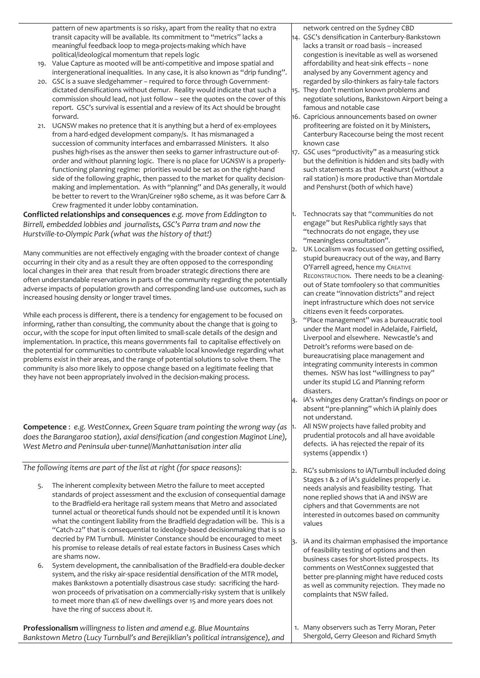pattern of new apartments is so risky, apart from the reality that no extra transit capacity will be available. Its commitment to "metrics" lacks a meaningful feedback loop to mega-projects-making which have political/ideological momentum that repels logic

- 19. Value Capture as mooted will be anti-competitive and impose spatial and intergenerational inequalities. In any case, it is also known as "drip funding".
- 20. GSC is a suave sledgehammer required to force through Governmentdictated densifications without demur. Reality would indicate that such a commission should lead, not just follow – see the quotes on the cover of this report. GSC's survival is essential and a review of its Act should be brought forward.
- 21. UGNSW makes no pretence that it is anything but a herd of ex-employees from a hard-edged development company/s. It has mismanaged a succession of community interfaces and embarrassed Ministers. It also pushes high-rises as the answer then seeks to garner infrastructure out-oforder and without planning logic. There is no place for UGNSW is a properlyfunctioning planning regime: priorities would be set as on the right-hand side of the following graphic, then passed to the market for quality decisionmaking and implementation. As with "planning" and DAs generally, it would be better to revert to the Wran/Greiner 1980 scheme, as it was before Carr & Crew fragmented it under lobby contamination.

**Conflicted relationships and consequences** *e.g. move from Eddington to Birrell, embedded lobbies and journalists, GSC's Parra tram and now the Hurstville-to-Olympic Park (what was the history of that!)*

Many communities are not effectively engaging with the broader context of change occurring in their city and as a result they are often opposed to the corresponding local changes in their area that result from broader strategic directions there are often understandable reservations in parts of the community regarding the potentially adverse impacts of population growth and corresponding land-use outcomes, such as increased housing density or longer travel times.

While each process is different, there is a tendency for engagement to be focused on informing, rather than consulting, the community about the change that is going to occur, with the scope for input often limited to small-scale details of the design and implementation. In practice, this means governments fail to capitalise effectively on the potential for communities to contribute valuable local knowledge regarding what problems exist in their areas, and the range of potential solutions to solve them. The community is also more likely to oppose change based on a legitimate feeling that they have not been appropriately involved in the decision-making process.

**Competence** : *e.g. WestConnex, Green Square tram pointing the wrong way (as does the Barangaroo station), axial densification (and congestion Maginot Line), West Metro and Peninsula uber-tunnel/Manhattanisation inter alia*

*The following items are part of the list at right (for space reasons):*

- The inherent complexity between Metro the failure to meet accepted standards of project assessment and the exclusion of consequential damage to the Bradfield-era heritage rail system means that Metro and associated tunnel actual or theoretical funds should not be expended until it is known what the contingent liability from the Bradfield degradation will be. This is a "Catch-22" that is consequential to ideology-based decisionmaking that is so decried by PM Turnbull. Minister Constance should be encouraged to meet his promise to release details of real estate factors in Business Cases which are shams now.
- 6. System development, the cannibalisation of the Bradfield-era double-decker system, and the risky air-space residential densification of the MTR model, makes Bankstown a potentially disastrous case study: sacrificing the hardwon proceeds of privatisation on a commercially-risky system that is unlikely to meet more than 4% of new dwellings over 15 and more years does not have the ring of success about it.

**Professionalism** *willingness to listen and amend e.g. Blue Mountains Bankstown Metro (Lucy Turnbull's and Berejiklian's political intransigence), and*  network centred on the Sydney CBD

- 14. GSC's densification in Canterbury-Bankstown lacks a transit or road basis – increased congestion is inevitable as well as worsened affordability and heat-sink effects – none analysed by any Government agency and regarded by silo-thinkers as fairy-tale factors
- 15. They don't mention known problems and negotiate solutions, Bankstown Airport being a famous and notable case
- 16. Capricious announcements based on owner profiteering are foisted on it by Ministers, Canterbury Racecourse being the most recent known case
- 17. GSC uses "productivity" as a measuring stick but the definition is hidden and sits badly with such statements as that Peakhurst (without a rail station) is more productive than Mortdale and Penshurst (both of which have)
- Technocrats say that "communities do not engage" but ResPublica rightly says that "technocrats do not engage, they use "meaningless consultation".
- 2. UK Localism was focussed on getting ossified, stupid bureaucracy out of the way, and Barry O'Farrell agreed, hence my CREATIVE RECONSTRUCTION. There needs to be a cleaningout of State tomfoolery so that communities can create "innovation districts" and reject inept infrastructure which does not service citizens even it feeds corporates.
- 3. "Place management" was a bureaucratic tool under the Mant model in Adelaide, Fairfield, Liverpool and elsewhere. Newcastle's and Detroit's reforms were based on debureaucratising place management and integrating community interests in common themes. NSW has lost "willingness to pay" under its stupid LG and Planning reform disasters.
- 4. iA's whinges deny Grattan's findings on poor or absent "pre-planning" which iA plainly does not understand.
	- All NSW projects have failed probity and prudential protocols and all have avoidable defects. iA has rejected the repair of its systems (appendix 1)
- 2. RG's submissions to iA/Turnbull included doing Stages 1 & 2 of iA's guidelines properly i.e. needs analysis and feasibility testing. That none replied shows that iA and iNSW are ciphers and that Governments are not interested in outcomes based on community values
	- iA and its chairman emphasised the importance of feasibility testing of options and then business cases for short-listed prospects. Its comments on WestConnex suggested that better pre-planning might have reduced costs as well as community rejection. They made no complaints that NSW failed.
- 1. Many observers such as Terry Moran, Peter Shergold, Gerry Gleeson and Richard Smyth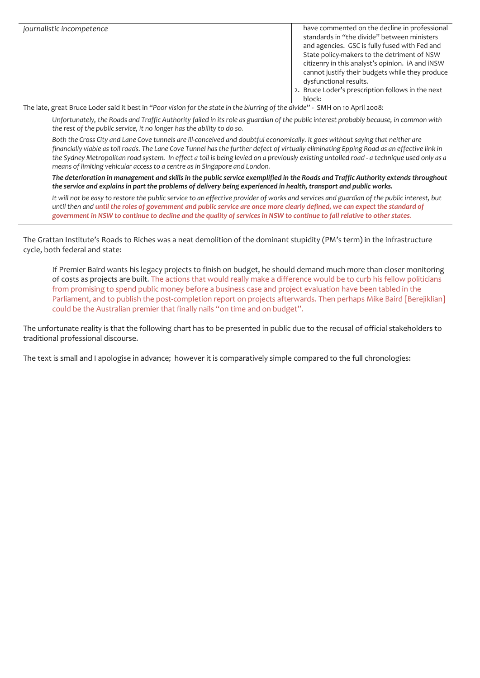*journalistic incompetence* have commented on the decline in professional standards in "the divide" between ministers and agencies. GSC is fully fused with Fed and State policy-makers to the detriment of NSW citizenry in this analyst's opinion. iA and iNSW cannot justify their budgets while they produce dysfunctional results.

2. Bruce Loder's prescription follows in the next block:

The late, great Bruce Loder said it best in "*Poor vision for the state in the blurring of the divide*" - SMH on 10 April 2008:

*Unfortunately, the Roads and Traffic Authority failed in its role as guardian of the public interest probably because, in common with the rest of the public service, it no longer has the ability to do so.*

Both the Cross City and Lane Cove tunnels are ill-conceived and doubtful economically. It goes without saying that neither are financially viable as toll roads. The Lane Cove Tunnel has the further defect of virtually eliminating Epping Road as an effective link in *the Sydney Metropolitan road system. In effect a toll is being levied on a previously existing untolled road - a technique used only as a means of limiting vehicular access to a centre as in Singapore and London.*

*The deterioration in management and skills in the public service exemplified in the Roads and Traffic Authority extends throughout the service and explains in part the problems of delivery being experienced in health, transport and public works.*

*It will not be easy to restore the public service to an effective provider of works and services and guardian of the public interest, but until then and until the roles of government and public service are once more clearly defined, we can expect the standard of government in NSW to continue to decline and the quality of services in NSW to continue to fall relative to other states.*

The Grattan Institute's Roads to Riches was a neat demolition of the dominant stupidity (PM's term) in the infrastructure cycle, both federal and state:

If Premier Baird wants his legacy projects to finish on budget, he should demand much more than closer monitoring of costs as projects are built. The actions that would really make a difference would be to curb his fellow politicians from promising to spend public money before a business case and project evaluation have been tabled in the Parliament, and to publish the post-completion report on projects afterwards. Then perhaps Mike Baird [Berejiklian] could be the Australian premier that finally nails "on time and on budget".

The unfortunate reality is that the following chart has to be presented in public due to the recusal of official stakeholders to traditional professional discourse.

The text is small and I apologise in advance; however it is comparatively simple compared to the full chronologies: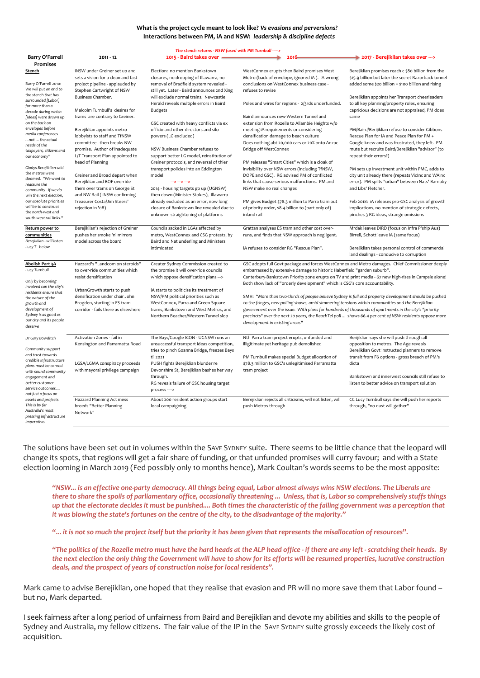#### **What is the project cycle meant to look like? Vs evasions and perversions?** Interactions between PM, iA and NSW: *leadership & discipline defects*

| The stench returns - NSW fused with PM Turnbull ----->                                                                              |                                                                                                                                |                                                                                                                                                                              |                                                                                                                                                                                                                                                                                                                                                                    |                                                                                                                                                                                                                                                                                                                      |  |  |
|-------------------------------------------------------------------------------------------------------------------------------------|--------------------------------------------------------------------------------------------------------------------------------|------------------------------------------------------------------------------------------------------------------------------------------------------------------------------|--------------------------------------------------------------------------------------------------------------------------------------------------------------------------------------------------------------------------------------------------------------------------------------------------------------------------------------------------------------------|----------------------------------------------------------------------------------------------------------------------------------------------------------------------------------------------------------------------------------------------------------------------------------------------------------------------|--|--|
| <b>Barry O'Farrell</b><br><b>Promises</b>                                                                                           | $2011 - 12$                                                                                                                    | 2015 - Baird takes over =                                                                                                                                                    | $2016 -$                                                                                                                                                                                                                                                                                                                                                           | → 2017 - Berejiklian takes over --->                                                                                                                                                                                                                                                                                 |  |  |
| Stench                                                                                                                              | iNSW under Greiner set up and<br>sets a vision for a clean and fast                                                            | Election: no mention Bankstown<br>closures, no dropping of Illawarra, no                                                                                                     | WestConnex erupts then Baird promises West<br>Metro (back of envelope, ignored iA). iA wrong                                                                                                                                                                                                                                                                       | Berejiklian promises reach c \$80 billion from the<br>\$15.9 billion but later the secret Razorback tunnel                                                                                                                                                                                                           |  |  |
| Barry O'Farrell 2010:<br>We will put an end to                                                                                      | project pipeline - applauded by<br>Stephen Cartwright of NSW                                                                   | removal of Bradfield system revealed -<br>still yet. Later - Baird announces 2nd Xing                                                                                        | conclusions on WestConnex business case -<br>refuses to revise                                                                                                                                                                                                                                                                                                     | added some \$20 billion = \$100 billion and rising                                                                                                                                                                                                                                                                   |  |  |
| the stench that has<br>surrounded [Labor]<br>for more than a                                                                        | Business Chamber.<br>Malcolm Turnbull's desires for                                                                            | will exclude normal trains. Newcastle<br>Herald reveals multiple errors in Baird                                                                                             | Poles and wires for regions - 2/3rds underfunded.                                                                                                                                                                                                                                                                                                                  | Berejiklian appoints her Transport cheerleaders<br>to all key planning/property roles, ensuring<br>capricious decisions are not appraised, PM does                                                                                                                                                                   |  |  |
| decade during which<br>[ideas] were drawn up<br>on the back on                                                                      | trams are contrary to Greiner.                                                                                                 | <b>Budgets</b><br>GSC created with heavy conflicts via ex                                                                                                                    | Baird announces new Western Tunnel and<br>extension from Rozelle to Allambie Heights w/o                                                                                                                                                                                                                                                                           | same                                                                                                                                                                                                                                                                                                                 |  |  |
| envelopes before<br>media conferences<br>not  the actual<br>needs of the                                                            | Berejiklian appoints metro<br>lobbyists to staff and TfNSW<br>committee - then breaks NW<br>promise. Author of inadequate      | officio and other directors and silo<br>powers (LG excluded)<br>NSW Business Chamber refuses to                                                                              | meeting iA requirements or considering<br>densification damage to beach culture<br>Does nothing abt 20,000 cars or 20% onto Anzac<br>Bridge off WestConnex                                                                                                                                                                                                         | PM/Baird/Berijiklian refuse to consider Gibbons<br>Rescue Plan for iA and Peace Plan for PM +<br>Google knew and was frustrated, they left. PM<br>mute but recruits Baird/Berejiklian "advisor" (to                                                                                                                  |  |  |
| taxpayers, citizens and<br>our economy"                                                                                             | L/T Transport Plan appointed to<br>head of Planning                                                                            | support better LG model, reinstitution of<br>Greiner protocols, and reversal of thier                                                                                        | PM releases "Smart Cities" which is a cloak of                                                                                                                                                                                                                                                                                                                     | repeat their errors?)                                                                                                                                                                                                                                                                                                |  |  |
| Gladys Berejiklian said<br>the metros were<br>doomed. "We want to<br>reassure the<br>community - if we do<br>win the next election, | Greiner and Broad depart when<br>Berejiklian and BOF override<br>them over trams on George St<br>and NW Rail ( iNSW confirming | transport policies into an Eddington<br>model<br>$\rightarrow$ $\rightarrow$ $\rightarrow$<br>2014 - housing targets go up (UGNSW)<br>then down (Minister Stokes), Illawarra | invisibility over NSW errors (including TfNSW,<br>DOPE and GSC). RG advised PM of conflicted<br>links that cause serious malfunctions. PM and<br>NSW make no real changes                                                                                                                                                                                          | PM sets up investment unit within PMC, adds to<br>city unit already there (repeats VicInc and WAinc<br>error). PM splits "urban" between Nats' Barnaby<br>and Libs' Fletcher.                                                                                                                                        |  |  |
| our absolute priorities<br>will be to construct<br>the north-west and<br>south-west rail links."                                    | Treasurer Costa/Jim Steers'<br>rejection in '08)                                                                               | already excluded as an error, now long<br>closure of Bankstown line revealed due to<br>unknown straightening of platforms                                                    | PM gives Budget \$78.3 million to Parra tram out<br>of priority order, \$8.4 billion to (part only of)<br>inland rail                                                                                                                                                                                                                                              | Feb 2018: iA releases pro-GSC analysis of growth<br>implications, no mention of strategic defects,<br>pinches 3 RG ideas, strange omissions                                                                                                                                                                          |  |  |
| Return power to<br>communities<br>Berejiklian - will listen                                                                         | Berejiklian's rejection of Greiner<br>pushes her smoke 'n' mirrors<br>model across the board                                   | Councils sacked in LGAs affected by<br>metro, WestConnex and CSG protests, by<br>Baird and Nat underling and Ministers                                                       | Grattan analyses ES tram and other cost over-<br>runs, and finds that NSW approach is negligent.                                                                                                                                                                                                                                                                   | Mrdak leaves DIRD (focus on Infra P'ship Aus)<br>Birrell, Schott leave iA (same focus)                                                                                                                                                                                                                               |  |  |
| Lucy T - below                                                                                                                      |                                                                                                                                | intimidated                                                                                                                                                                  | iA refuses to consider RG "Rescue Plan".                                                                                                                                                                                                                                                                                                                           | Berejiklian takes personal control of commercial<br>land dealings - conducive to corruption                                                                                                                                                                                                                          |  |  |
| Abolish Part 3A<br>Lucy Turnbull<br>Only by becoming                                                                                | Hazzard's "Landcom on steroids"<br>to over-ride communities which<br>resist densification                                      | Greater Sydney Commission created to<br>the promise it will over-ride councils<br>which oppose densification plans --->                                                      | GSC adopts full Govt package and forces WestConnex and Metro damages. Chief Commissioner deeply<br>embarrassed by extensive damage to historic Haberfield "garden suburb".<br>Canterbury-Bankstown Priority zone erupts on TV and print media - 67 new high-rises in Campsie alone!<br>Both show lack of "orderly development" which is CSG's core accountability. |                                                                                                                                                                                                                                                                                                                      |  |  |
| involved can the city's<br>residents ensure that<br>the nature of the                                                               | UrbanGrowth starts to push<br>densification under chair John                                                                   | iA starts to politicise its treatment of<br>NSW/PM political priorities such as                                                                                              | SMH: "More than two-thirds of people believe Sydney is full and property development should be pushed                                                                                                                                                                                                                                                              |                                                                                                                                                                                                                                                                                                                      |  |  |
| growth and<br>development of<br>Sydney is as good as<br>our city and its people<br>deserve                                          | Brogden, starting in ES tram<br>corridor - fails there as elsewhere                                                            | WestConnex, Parra and Green Square<br>trams, Bankstown and West Metros, and<br>Northern Beaches/Western Tunnel slop<br>development in existing areas"                        |                                                                                                                                                                                                                                                                                                                                                                    | to the fringes, new polling shows, amid simmering tensions within communities and the Berejiklian<br>government over the issue. With plans for hundreds of thousands of apartments in the city's "priority<br>precincts" over the next 20 years, the ReachTel poll  shows 66.4 per cent of NSW residents oppose more |  |  |
| Dr Gary Bowditch<br>Community support                                                                                               | Activation Zones - fail in<br>Kensington and Parramatta Road                                                                   | The Bays/Google ICON - UGNSW runs an<br>unsuccessful transport ideas competition,                                                                                            | Nth Parra tram project erupts, unfunded and<br>illigitimate yet heritage pub demolished                                                                                                                                                                                                                                                                            | Berijiklian says she will push through all<br>opposition to metros. The Age reveals                                                                                                                                                                                                                                  |  |  |
| and trust towards<br>credible infrastructure<br>plans must be earned<br>with sound community                                        | LGSA/LGMA conspiracy proceeds<br>with mayoral privilege campaign                                                               | tries to pinch Goanna Bridge, freezes Bays<br>til 2021<br>PUSH fights Berejiklian blunder re<br>Devonshire St, Berejiklian bashes her way                                    | PM Turnbull makes special Budget allocation of<br>\$78.3 million to GSC's unlegitimised Parramatta<br>tram project                                                                                                                                                                                                                                                 | Berejiklian Govt instructed planners to remove<br>transit from F6 options - gross breach of PM's<br>dicta                                                                                                                                                                                                            |  |  |
| engagement and<br>better customer<br>service outcomes<br>not just a focus on                                                        |                                                                                                                                | through.<br>RG reveals failure of GSC housing target<br>process---->                                                                                                         |                                                                                                                                                                                                                                                                                                                                                                    | Bankstown and innerwest councils still refuse to<br>listen to better advice on transport solution                                                                                                                                                                                                                    |  |  |
| assets and projects.<br>This is by far<br>Australia's most<br>pressing infrastructure<br>imperative.                                | Hazzard Planning Act mess<br>breeds "Better Planning<br>Network"                                                               | About 200 resident action groups start<br>local campaigning                                                                                                                  | Berejiklian rejects all criticisms, will not listen, will<br>push Metros through                                                                                                                                                                                                                                                                                   | CC Lucy Turnbull says she will push her reports<br>through, "no dust will gather"                                                                                                                                                                                                                                    |  |  |

The solutions have been set out in volumes within the SAVE SYDNEY suite. There seems to be little chance that the leopard will change its spots, that regions will get a fair share of funding, or that unfunded promises will curry favour; and with a State election looming in March 2019 (Fed possibly only 10 months hence), Mark Coultan's words seems to be the most apposite:

*"NSW... is an effective one-party democracy. All things being equal, Labor almost always wins NSW elections. The Liberals are there to share the spoils of parliamentary office, occasionally threatening ... Unless, that is, Labor so comprehensively stuffs things up that the electorate decides it must be punished.... Both times the characteristic of the failing government was a perception that it was blowing the state's fortunes on the centre of the city, to the disadvantage of the majority."* 

**"...** *it is not so much the project itself but the priority it has been given that represents the misallocation of resources***".** 

*"The politics of the Rozelle metro must have the hard heads at the ALP head office - if there are any left - scratching their heads. By the next election the only thing the Government will have to show for its efforts will be resumed properties, lucrative construction deals, and the prospect of years of construction noise for local residents".*

Mark came to advise Berejiklian, one hoped that they realise that evasion and PR will no more save them that Labor found but no, Mark departed.

I seek fairness after a long period of unfairness from Baird and Berejiklian and devote my abilities and skills to the people of Sydney and Australia, my fellow citizens. The fair value of the IP in the SAVE SYDNEY suite grossly exceeds the likely cost of acquisition.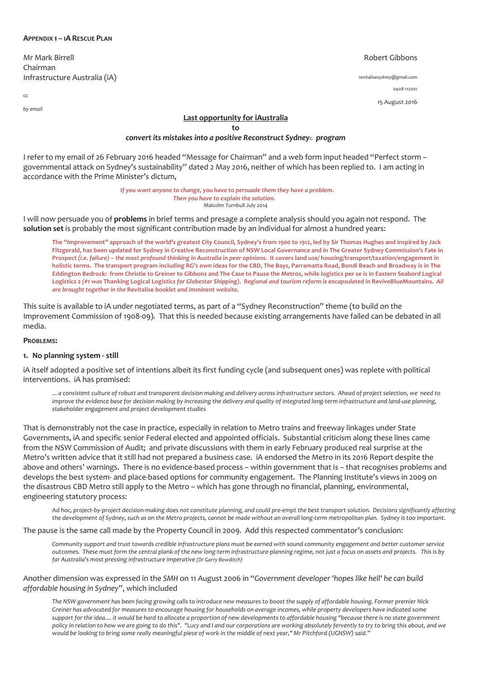### **APPENDIX 1 – IA RESCUE PLAN**

Mr Mark Birrell Chairman Infrastructure Australia (iA)

cc

*by email*

### Robert Gibbons

revitalisesydney@gmail.com 0408 112001 15 August 2016

### **Last opportunity for iAustralia**

**to** 

## *convert its mistakes into a positive Reconstruct Sydney© program*

I refer to my email of 26 February 2016 headed "Message for Chairman" and a web form input headed "Perfect storm – governmental attack on Sydney's sustainability" dated 2 May 2016, neither of which has been replied to. I am acting in accordance with the Prime Minister's dictum,

> *If you want anyone to change, you have to persuade them they have a problem. Then you have to explain the solution.* Malcolm Turnbull July 2014

I will now persuade you of **problems** in brief terms and presage a complete analysis should you again not respond. The **solution set** is probably the most significant contribution made by an individual for almost a hundred years:

**The "Improvement" approach of the world's greatest City Council, Sydney's from 1900 to 1912, led by Sir Thomas Hughes and inspired by Jack Fitzgerald, has been updated for Sydney in Creative Reconstruction of NSW Local Governance and in The Greater Sydney Commission's Fate in Prospect** *(i.e. failure) – the most profound thinking in Australia in peer opinions.* **It covers land use/ housing/transport/taxation/engagement in holistic terms. The transport program including RG's own ideas for the CBD, The Bays, Parramatta Road, Bondi Beach and Broadway is in The Eddington Bedrock: from Christie to Greiner to Gibbons and The Case to Pause the Metros, while logistics per se is in Eastern Seabord Logical Logistics 2** *(#1 was* **Thanking Logical Logistic***s for Globestar Shipping)***.** *Regional and tourism reform is encapsulated in* **ReviveBlueMountains.** *All are brought together in the* **Revitalise** *booklet and imminent website***.** 

This suite is available to iA under negotiated terms, as part of a "Sydney Reconstruction" theme (to build on the Improvement Commission of 1908-09). That this is needed because existing arrangements have failed can be debated in all media.

#### **PROBLEMS:**

#### **1. No planning system - still**

iA itself adopted a positive set of intentions albeit its first funding cycle (and subsequent ones) was replete with political interventions. iA has promised:

*... a consistent culture of robust and transparent decision making and delivery across infrastructure sectors. Ahead of project selection, we need to improve the evidence base for decision making by increasing the delivery and quality of integrated long-term infrastructure and land-use planning, stakeholder engagement and project development studies*

That is demonstrably not the case in practice, especially in relation to Metro trains and freeway linkages under State Governments, iA and specific senior Federal elected and appointed officials. Substantial criticism along these lines came from the NSW Commission of Audit; and private discussions with them in early February produced real surprise at the Metro's written advice that it still had not prepared a business case. iA endorsed the Metro in its 2016 Report despite the above and others' warnings. There is no evidence-based process – within government that is – that recognises problems and develops the best system- and place-based options for community engagement. The Planning Institute's views in 2009 on the disastrous CBD Metro still apply to the Metro – which has gone through no financial, planning, environmental, engineering statutory process:

*Ad hoc, project-by-project decision-making does not constitute planning, and could pre-empt the best transport solution. Decisions significantly affecting the development of Sydney, such as on the Metro projects, cannot be made without an overall long-term metropolitan plan. Sydney is too important.*

The pause is the same call made by the Property Council in 2009. Add this respected commentator's conclusion:

*Community support and trust towards credible infrastructure plans must be earned with sound community engagement and better customer service outcomes. These must form the central plank of the new long-term infrastructure-planning regime, not just a focus on assets and projects. This is by far Australia's most pressing infrastructure imperative (Dr Garry Bowditch)*

### Another dimension was expressed in the *SMH* on 11 August 2006 in "*Government developer 'hopes like hell' he can build affordable housing in Sydney*", which included

*The NSW government has been facing growing calls to introduce new measures to boost the supply of affordable housing. Former premier Nick Greiner has advocated for measures to encourage housing for households on average incomes, while property developers have indicated some support for the idea.... it would be hard to allocate a proportion of new developments to affordable housing "because there is no state government policy in relation to how we are going to do this". "Lucy and I and our corporations are working absolutely fervently to try to bring this about, and we would be looking to bring some really meaningful piece of work in the middle of next year," Mr Pitchford (UGNSW) said."*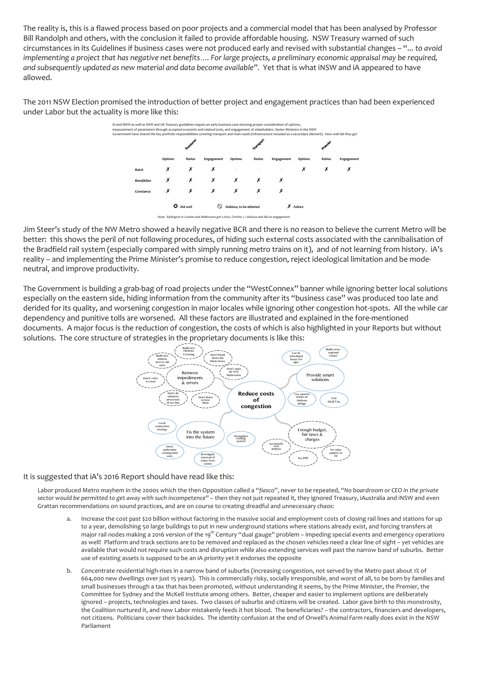The reality is, this is a flawed process based on poor projects and a commercial model that has been analysed by Professor Bill Randolph and others, with the conclusion it failed to provide affordable housing. NSW Treasury warned of such circumstances in its Guidelines if business cases were not produced early and revised with substantial changes – "... *to avoid implementing a project that has negative net benefits…. For large projects, a preliminary economic appraisal may be required, and subsequently updated as new material and data become available".* Yet that is what iNSW and iA appeared to have allowed.

The 2011 NSW Election promised the introduction of better project and engagement practices than had been experienced under Labor but the actuality is more like this:



Jim Steer's study of the NW Metro showed a heavily negative BCR and there is no reason to believe the current Metro will be better: this shows the peril of not following procedures, of hiding such external costs associated with the cannibalisation of the Bradfield rail system (especially compared with simply running metro trains on it), and of not learning from history. iA's reality – and implementing the Prime Minister's promise to reduce congestion, reject ideological limitation and be modeneutral, and improve productivity.

The Government is building a grab-bag of road projects under the "WestConnex" banner while ignoring better local solutions especially on the eastern side, hiding information from the community after its "business case" was produced too late and derided for its quality, and worsening congestion in major locales while ignoring other congestion hot-spots. All the while car dependency and punitive tolls are worsened. All these factors are illustrated and explained in the fore-mentioned documents. A major focus is the reduction of congestion, the costs of which is also highlighted in your Reports but without solutions. The core structure of strategies in the proprietary documents is like this:



### It is suggested that iA's 2016 Report should have read like this:

Labor produced Metro mayhem in the 2000s which the then Opposition called a "*fiasco*", never to be repeated, "*No boardroom or CEO in the private sector would be permitted to get away with such incompetence*" – then they not just repeated it, they ignored Treasury, iAustralia and iNSW and even Grattan recommendations on sound practices, and are on course to creating dreadful and unnecessary *chaos*:

- a. Increase the cost past \$20 billion without factoring in the massive social and employment costs of closing rail lines and stations for up to a year, demolishing 50 large buildings to put in new underground stations where stations already exist, and forcing transfers at major rail nodes making a 2016 version of the 19<sup>th</sup> Century "dual gauge" problem – impeding special events and emergency operations as well! Platform and track sections are to be removed and replaced as the chosen vehicles need a clear line of sight - yet vehicles are available that would not require such costs and disruption while also extending services well past the narrow band of suburbs. Better use of existing assets is supposed to be an iA priority yet it endorses the opposite
- b. Concentrate residential high-rises in a narrow band of suburbs (increasing congestion, not served by the Metro past about 1% of 664,000 new dwellings over just 15 years). This is commercially risky, socially irresponsible, and worst of all, to be born by families and small businesses through a tax that has been promoted, without understanding it seems, by the Prime Minister, the Premier, the Committee for Sydney and the McKell Institute among others. Better, cheaper and easier to implement options are deliberately ignored – projects, technologies and taxes. Two classes of suburbs and citizens will be created. Labor gave birth to this monstrosity, the Coalition nurtured it, and now Labor mistakenly feeds it hot blood. The beneficiaries? – the contractors, financiers and developers, not citizens. Politicians cover their backsides. The identity confusion at the end of Orwell's *Animal Farm* really does exist in the NSW Parliament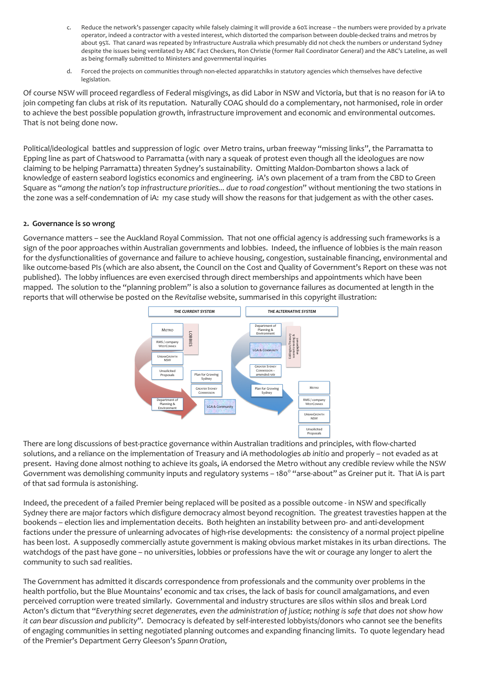- c. Reduce the network's passenger capacity while falsely claiming it will provide a 60% increase the numbers were provided by a private operator, indeed a contractor with a vested interest, which distorted the comparison between double-decked trains and metros by about 95%. That canard was repeated by Infrastructure Australia which presumably did not check the numbers or understand Sydney despite the issues being ventilated by ABC Fact Checkers, Ron Christie (former Rail Coordinator General) and the ABC's Lateline, as well as being formally submitted to Ministers and governmental inquiries
- d. Forced the projects on communities through non-elected apparatchiks in statutory agencies which themselves have defective legislation.

Of course NSW will proceed regardless of Federal misgivings, as did Labor in NSW and Victoria, but that is no reason for iA to join competing fan clubs at risk of its reputation. Naturally COAG should do a complementary, not harmonised, role in order to achieve the best possible population growth, infrastructure improvement and economic and environmental outcomes. That is not being done now.

Political/ideological battles and suppression of logic over Metro trains, urban freeway "missing links", the Parramatta to Epping line as part of Chatswood to Parramatta (with nary a squeak of protest even though all the ideologues are now claiming to be helping Parramatta) threaten Sydney's sustainability. Omitting Maldon-Dombarton shows a lack of knowledge of eastern seabord logistics economics and engineering. iA's own placement of a tram from the CBD to Green Square as "*among the nation's top infrastructure priorities... due to road congestion*" without mentioning the two stations in the zone was a self-condemnation of iA: my case study will show the reasons for that judgement as with the other cases.

## **2. Governance is so wrong**

Governance matters – see the Auckland Royal Commission. That not one official agency is addressing such frameworks is a sign of the poor approaches within Australian governments and lobbies. Indeed, the influence of lobbies is the main reason for the dysfunctionalities of governance and failure to achieve housing, congestion, sustainable financing, environmental and like outcome-based PIs (which are also absent, the Council on the Cost and Quality of Government's Report on these was not published). The lobby influences are even exercised through direct memberships and appointments which have been mapped. The solution to the "planning problem" is also a solution to governance failures as documented at length in the reports that will otherwise be posted on the *Revitalise* website, summarised in this copyright illustration:



There are long discussions of best-practice governance within Australian traditions and principles, with flow-charted solutions, and a reliance on the implementation of Treasury and iA methodologies *ab initio* and properly – not evaded as at present. Having done almost nothing to achieve its goals, iA endorsed the Metro without any credible review while the NSW Government was demolishing community inputs and regulatory systems - 180° "arse-about" as Greiner put it. That iA is part of that sad formula is astonishing.

Indeed, the precedent of a failed Premier being replaced will be posited as a possible outcome - in NSW and specifically Sydney there are major factors which disfigure democracy almost beyond recognition. The greatest travesties happen at the bookends – election lies and implementation deceits. Both heighten an instability between pro- and anti-development factions under the pressure of unlearning advocates of high-rise developments: the consistency of a normal project pipeline has been lost. A supposedly commercially astute government is making obvious market mistakes in its urban directions. The watchdogs of the past have gone – no universities, lobbies or professions have the wit or courage any longer to alert the community to such sad realities.

The Government has admitted it discards correspondence from professionals and the community over problems in the health portfolio, but the Blue Mountains' economic and tax crises, the lack of basis for council amalgamations, and even perceived corruption were treated similarly. Governmental and industry structures are silos within silos and break Lord Acton's dictum that "*Everything secret degenerates, even the administration of justice; nothing is safe that does not show how it can bear discussion and publicity*". Democracy is defeated by self-interested lobbyists/donors who cannot see the benefits of engaging communities in setting negotiated planning outcomes and expanding financing limits. To quote legendary head of the Premier's Department Gerry Gleeson's *Spann Oration*,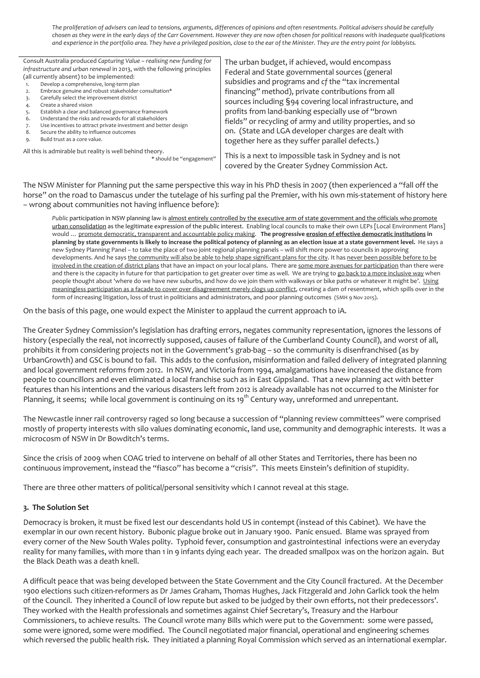*The proliferation of advisers can lead to tensions, arguments, differences of opinions and often resentments. Political advisers should be carefully chosen as they were in the early days of the Carr Government. However they are now often chosen for political reasons with inadequate qualifications and experience in the portfolio area. They have a privileged position, close to the ear of the Minister. They are the entry point for lobbyists.* 

Consult Australia produced *Capturing Value – realising new funding for infrastructure and urban renewal* in 2013, with the following principles (all currently absent) to be implemented: 1. Develop a comprehensive, long-term plan 2. Embrace genuine and robust stakeholder consultation\* 3. Carefully select the improvement district 4. Create a shared vision 5. Establish a clear and balanced governance framework 6. Understand the risks and rewards for all stakeholders 7. Use incentives to attract private investment and better design 8. Secure the ability to influence outcomes 9. Build trust as a core value. The urban budget, if achieved, would encompass Federal and State governmental sources (general subsidies and programs and *cf* the "tax incremental

All this is admirable but reality is well behind theory. \* should be "engagement"

financing" method), private contributions from all sources including §94 covering local infrastructure, and profits from land-banking especially use of "brown fields" or recycling of army and utility properties, and so on. (State and LGA developer charges are dealt with together here as they suffer parallel defects.)

This is a next to impossible task in Sydney and is not covered by the Greater Sydney Commission Act.

The NSW Minister for Planning put the same perspective this way in his PhD thesis in 2007 (then experienced a "fall off the horse" on the road to Damascus under the tutelage of his surfing pal the Premier, with his own mis-statement of history here – wrong about communities not having influence before):

*Public* participation in NSW planning law is almost entirely controlled by the executive arm of state government and the officials who promote urban consolidation as the legitimate expression of the public interest. Enabling local councils to make their own LEPs [Local Environment Plans] would … promote democratic, transparent and accountable policy making. **The progressive erosion of effective democratic institutions in planning by state governments is likely to increase the political potency of planning as an election issue at a state government level.** He says a new Sydney Planning Panel – to take the place of two joint regional planning panels – will shift more power to councils in approving developments. And he says the community will also be able to help shape significant plans for the city. It has never been possible before to be involved in the creation of district plans that have an impact on your local plans. There are some more avenues for participation than there were and there is the capacity in future for that participation to get greater over time as well. We are trying to go back to a more inclusive way when people thought about 'where do we have new suburbs, and how do we join them with walkways or bike paths or whatever it might be'. Using meaningless participation as a facade to cover over disagreement merely clogs up conflict, creating a dam of resentment, which spills over in the form of increasing litigation, loss of trust in politicians and administrators, and poor planning outcomes (SMH 9 Nov 2015).

On the basis of this page, one would expect the Minister to applaud the current approach to iA.

The Greater Sydney Commission's legislation has drafting errors, negates community representation, ignores the lessons of history (especially the real, not incorrectly supposed, causes of failure of the Cumberland County Council), and worst of all, prohibits it from considering projects not in the Government's grab-bag – so the community is disenfranchised (as by UrbanGrowth) and GSC is bound to fail. This adds to the confusion, misinformation and failed delivery of integrated planning and local government reforms from 2012. In NSW, and Victoria from 1994, amalgamations have increased the distance from people to councillors and even eliminated a local franchise such as in East Gippsland. That a new planning act with better features than his intentions and the various disasters left from 2012 is already available has not occurred to the Minister for Planning, it seems; while local government is continuing on its 19<sup>th</sup> Century way, unreformed and unrepentant.

The Newcastle inner rail controversy raged so long because a succession of "planning review committees" were comprised mostly of property interests with silo values dominating economic, land use, community and demographic interests. It was a microcosm of NSW in Dr Bowditch's terms.

Since the crisis of 2009 when COAG tried to intervene on behalf of all other States and Territories, there has been no continuous improvement, instead the "fiasco" has become a "crisis". This meets Einstein's definition of stupidity.

There are three other matters of political/personal sensitivity which I cannot reveal at this stage.

## **3. The Solution Set**

Democracy is broken, it must be fixed lest our descendants hold US in contempt (instead of this Cabinet). We have the exemplar in our own recent history. Bubonic plague broke out in January 1900. Panic ensued. Blame was sprayed from every corner of the New South Wales polity. Typhoid fever, consumption and gastrointestinal infections were an everyday reality for many families, with more than 1 in 9 infants dying each year. The dreaded smallpox was on the horizon again. But the Black Death was a death knell.

A difficult peace that was being developed between the State Government and the City Council fractured. At the December 1900 elections such citizen-reformers as Dr James Graham, Thomas Hughes, Jack Fitzgerald and John Garlick took the helm of the Council. They inherited a Council of low repute but asked to be judged by their own efforts, not their predecessors'. They worked with the Health professionals and sometimes against Chief Secretary's, Treasury and the Harbour Commissioners, to achieve results. The Council wrote many Bills which were put to the Government: some were passed, some were ignored, some were modified. The Council negotiated major financial, operational and engineering schemes which reversed the public health risk. They initiated a planning Royal Commission which served as an international exemplar.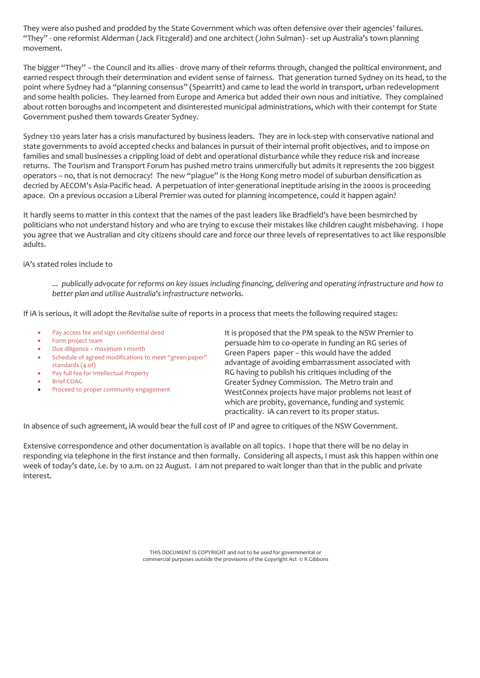They were also pushed and prodded by the State Government which was often defensive over their agencies' failures. "They" - one reformist Alderman (Jack Fitzgerald) and one architect (John Sulman) - set up Australia's town planning movement.

The bigger "They" – the Council and its allies - drove many of their reforms through, changed the political environment, and earned respect through their determination and evident sense of fairness. That generation turned Sydney on its head, to the point where Sydney had a "planning consensus" (Spearritt) and came to lead the world in transport, urban redevelopment and some health policies. They learned from Europe and America but added their own nous and initiative. They complained about rotten boroughs and incompetent and disinterested municipal administrations, which with their contempt for State Government pushed them towards Greater Sydney.

Sydney 120 years later has a crisis manufactured by business leaders. They are in lock-step with conservative national and state governments to avoid accepted checks and balances in pursuit of their internal profit objectives, and to impose on families and small businesses a crippling load of debt and operational disturbance while they reduce risk and increase returns. The Tourism and Transport Forum has pushed metro trains unmercifully but admits it represents the 200 biggest operators – no, that is not democracy! The new "plague" is the Hong Kong metro model of suburban densification as decried by AECOM's Asia-Pacific head. A perpetuation of inter-generational ineptitude arising in the 2000s is proceeding apace. On a previous occasion a Liberal Premier was outed for planning incompetence, could it happen again?

It hardly seems to matter in this context that the names of the past leaders like Bradfield's have been besmirched by politicians who not understand history and who are trying to excuse their mistakes like children caught misbehaving. I hope you agree that we Australian and city citizens should care and force our three levels of representatives to act like responsible adults.

## iA's stated roles include to

*... publically advocate for reforms on key issues including financing, delivering and operating infrastructure and how to better plan and utilise Australia's infrastructure networks.*

If iA is serious, it will adopt the *Revitalise* suite of reports in a process that meets the following required stages:

- Pay access fee and sign confidential deed
- Form project team
- Due diligence maximum 1 month
- Schedule of agreed modifications to meet "green paper" standards (4 of)
- Pay full fee for Intellectual Property
- **Brief COAG**
- Proceed to proper community engagement

It is proposed that the PM speak to the NSW Premier to persuade him to co-operate in funding an RG series of Green Papers paper – this would have the added advantage of avoiding embarrassment associated with RG having to publish his critiques including of the Greater Sydney Commission. The Metro train and WestConnex projects have major problems not least of which are probity, governance, funding and systemic practicality. iA can revert to its proper status.

In absence of such agreement, iA would bear the full cost of IP and agree to critiques of the NSW Government.

Extensive correspondence and other documentation is available on all topics. I hope that there will be no delay in responding via telephone in the first instance and then formally. Considering all aspects, I must ask this happen within one week of today's date, i.e. by 10 a.m. on 22 August. I am not prepared to wait longer than that in the public and private interest.